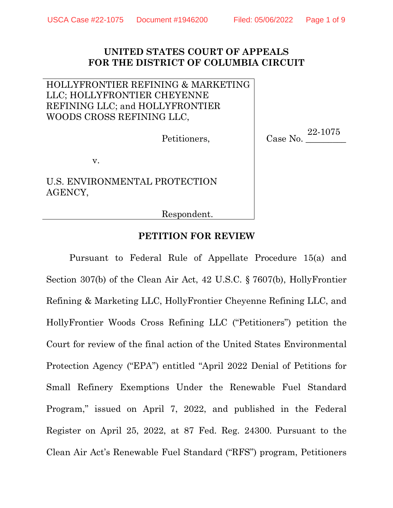## **UNITED STATES COURT OF APPEALS FOR THE DISTRICT OF COLUMBIA CIRCUIT**

## HOLLYFRONTIER REFINING & MARKETING LLC; HOLLYFRONTIER CHEYENNE REFINING LLC; and HOLLYFRONTIER WOODS CROSS REFINING LLC,

Petitioners,

 $Case No.$ 22-1075

v.

U.S. ENVIRONMENTAL PROTECTION AGENCY,

Respondent.

## **PETITION FOR REVIEW**

Pursuant to Federal Rule of Appellate Procedure 15(a) and Section 307(b) of the Clean Air Act, 42 U.S.C. § 7607(b), HollyFrontier Refining & Marketing LLC, HollyFrontier Cheyenne Refining LLC, and HollyFrontier Woods Cross Refining LLC ("Petitioners") petition the Court for review of the final action of the United States Environmental Protection Agency ("EPA") entitled "April 2022 Denial of Petitions for Small Refinery Exemptions Under the Renewable Fuel Standard Program," issued on April 7, 2022, and published in the Federal Register on April 25, 2022, at 87 Fed. Reg. 24300. Pursuant to the Clean Air Act's Renewable Fuel Standard ("RFS") program, Petitioners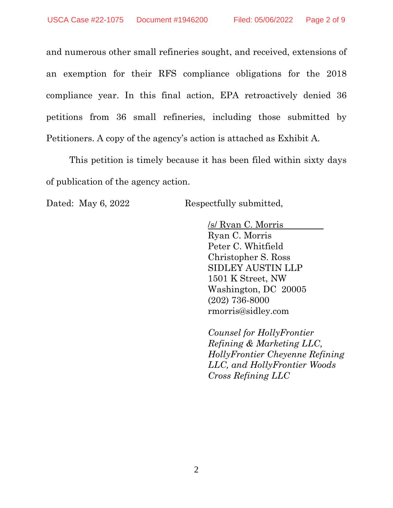and numerous other small refineries sought, and received, extensions of an exemption for their RFS compliance obligations for the 2018 compliance year. In this final action, EPA retroactively denied 36 petitions from 36 small refineries, including those submitted by Petitioners. A copy of the agency's action is attached as Exhibit A.

This petition is timely because it has been filed within sixty days of publication of the agency action.

Dated: May 6, 2022 Respectfully submitted,

/s/ Ryan C. Morris Ryan C. Morris Peter C. Whitfield Christopher S. Ross SIDLEY AUSTIN LLP 1501 K Street, NW Washington, DC 20005 (202) 736-8000 rmorris@sidley.com

*Counsel for HollyFrontier Refining & Marketing LLC, HollyFrontier Cheyenne Refining LLC, and HollyFrontier Woods Cross Refining LLC*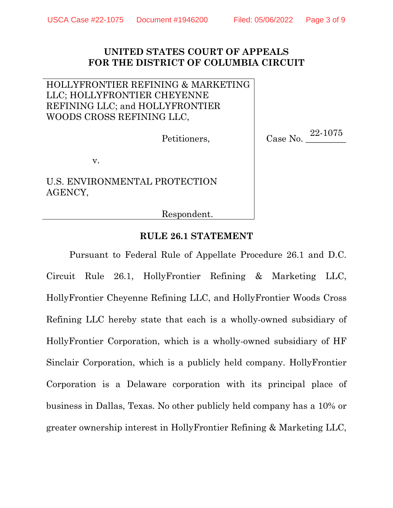## **UNITED STATES COURT OF APPEALS FOR THE DISTRICT OF COLUMBIA CIRCUIT**

## HOLLYFRONTIER REFINING & MARKETING LLC; HOLLYFRONTIER CHEYENNE REFINING LLC; and HOLLYFRONTIER WOODS CROSS REFINING LLC,

Petitioners,

Case No. 22-1075

v.

U.S. ENVIRONMENTAL PROTECTION AGENCY,

Respondent.

## **RULE 26.1 STATEMENT**

Pursuant to Federal Rule of Appellate Procedure 26.1 and D.C. Circuit Rule 26.1, HollyFrontier Refining & Marketing LLC, HollyFrontier Cheyenne Refining LLC, and HollyFrontier Woods Cross Refining LLC hereby state that each is a wholly-owned subsidiary of HollyFrontier Corporation, which is a wholly-owned subsidiary of HF Sinclair Corporation, which is a publicly held company. HollyFrontier Corporation is a Delaware corporation with its principal place of business in Dallas, Texas. No other publicly held company has a 10% or greater ownership interest in HollyFrontier Refining & Marketing LLC,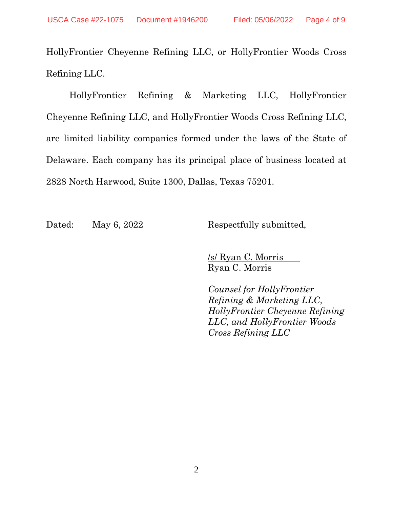HollyFrontier Cheyenne Refining LLC, or HollyFrontier Woods Cross Refining LLC.

HollyFrontier Refining & Marketing LLC, HollyFrontier Cheyenne Refining LLC, and HollyFrontier Woods Cross Refining LLC, are limited liability companies formed under the laws of the State of Delaware. Each company has its principal place of business located at 2828 North Harwood, Suite 1300, Dallas, Texas 75201.

Dated: May 6, 2022 Respectfully submitted,

/s/ Ryan C. Morris Ryan C. Morris

*Counsel for HollyFrontier Refining & Marketing LLC, HollyFrontier Cheyenne Refining LLC, and HollyFrontier Woods Cross Refining LLC*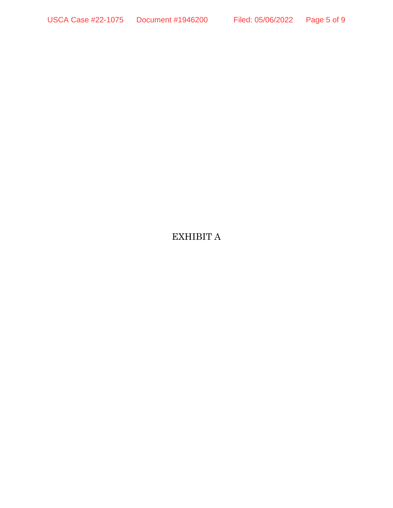# EXHIBIT A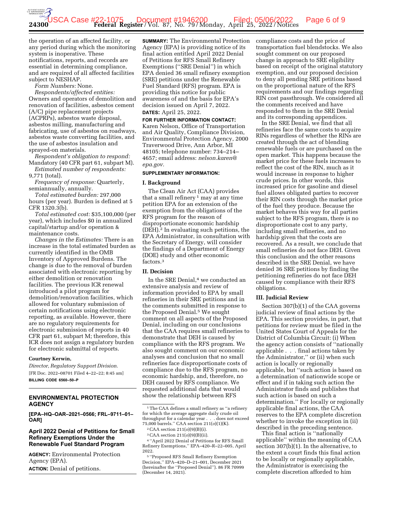the operation of an affected facility, or any period during which the monitoring system is inoperative. These notifications, reports, and records are essential in determining compliance, and are required of all affected facilities subject to NESHAP.

*Form Numbers:* None.

*Respondents/affected entities:*  Owners and operators of demolition and renovation of facilities, asbestos cement (A/C) pipe replacement projects (ACPRPs), asbestos waste disposal, asbestos milling, manufacturing and fabricating, use of asbestos on roadways, asbestos waste converting facilities, and the use of asbestos insulation and sprayed-on materials.

*Respondent's obligation to respond:*  Mandatory (40 CFR part 61, subpart M). *Estimated number of respondents:* 

9,771 (total).

*Frequency of response:* Quarterly, semiannually, annually.

*Total estimated burden:* 297,000 hours (per year). Burden is defined at 5 CFR 1320.3(b).

*Total estimated cost:* \$35,100,000 (per year), which includes \$0 in annualized capital/startup and/or operation & maintenance costs.

*Changes in the Estimates:* There is an increase in the total estimated burden as currently identified in the OMB Inventory of Approved Burdens. The change is due to the removal of burden associated with electronic reporting by either demolition or renovation facilities. The previous ICR renewal introduced a pilot program for demolition/renovation facilities, which allowed for voluntary submission of certain notifications using electronic reporting, as available. However, there are no regulatory requirements for electronic submission of reports in 40 CFR part 61, subpart M; therefore, this ICR does not assign a regulatory burden for electronic submittal of reports.

#### **Courtney Kerwin,**

*Director, Regulatory Support Division.*  [FR Doc. 2022–08701 Filed 4–22–22; 8:45 am] **BILLING CODE 6560–50–P** 

#### **ENVIRONMENTAL PROTECTION AGENCY**

**[EPA–HQ–OAR–2021–0566; FRL–9711–01– OAR]** 

#### **April 2022 Denial of Petitions for Small Refinery Exemptions Under the Renewable Fuel Standard Program**

**AGENCY:** Environmental Protection Agency (EPA). **ACTION:** Denial of petitions.

**SUMMARY:** The Environmental Protection Agency (EPA) is providing notice of its final action entitled April 2022 Denial of Petitions for RFS Small Refinery Exemptions (''SRE Denial'') in which EPA denied 36 small refinery exemption (SRE) petitions under the Renewable Fuel Standard (RFS) program. EPA is providing this notice for public awareness of and the basis for EPA's decision issued on April 7, 2022.

### **DATES:** April 25, 2022.

**FOR FURTHER INFORMATION CONTACT:**  Karen Nelson, Office of Transportation and Air Quality, Compliance Division, Environmental Protection Agency, 2000 Traverwood Drive, Ann Arbor, MI 48105; telephone number: 734–214– 4657; email address: *nelson.karen@ epa.gov.* 

#### **SUPPLEMENTARY INFORMATION:**

#### **I. Background**

The Clean Air Act (CAA) provides that a small refinery  $1$  may at any time petition EPA for an extension of the exemption from the obligations of the RFS program for the reason of disproportionate economic hardship (DEH).2 In evaluating such petitions, the EPA Administrator, in consultation with the Secretary of Energy, will consider the findings of a Department of Energy (DOE) study and other economic factors.3

#### **II. Decision**

In the SRE Denial,<sup>4</sup> we conducted an extensive analysis and review of information provided to EPA by small refineries in their SRE petitions and in the comments submitted in response to the Proposed Denial.5 We sought comment on all aspects of the Proposed Denial, including on our conclusions that the CAA requires small refineries to demonstrate that DEH is caused by compliance with the RFS program. We also sought comment on our economic analyses and conclusion that no small refineries face disproportionate costs of compliance due to the RFS program, no economic hardship, and, therefore, no DEH caused by RFS compliance. We requested additional data that would show the relationship between RFS

4 ''April 2022 Denial of Petitions for RFS Small Refinery Exemptions,'' EPA–420–R–22–005, April 2022.

compliance costs and the price of transportation fuel blendstocks. We also sought comment on our proposed change in approach to SRE eligibility based on receipt of the original statutory exemption, and our proposed decision to deny all pending SRE petitions based on the proportional nature of the RFS requirements and our findings regarding RIN cost passthrough. We considered all the comments received and have responded to them in the SRE Denial and its corresponding appendices.

In the SRE Denial, we find that all refineries face the same costs to acquire RINs regardless of whether the RINs are created through the act of blending renewable fuels or are purchased on the open market. This happens because the market price for these fuels increases to reflect the cost of the RIN, much as it would increase in response to higher crude prices. In other words, this increased price for gasoline and diesel fuel allows obligated parties to recover their RIN costs through the market price of the fuel they produce. Because the market behaves this way for all parties subject to the RFS program, there is no disproportionate cost to any party, including small refineries, and no hardship given that the costs are recovered. As a result, we conclude that small refineries do not face DEH. Given this conclusion and the other reasons described in the SRE Denial, we have denied 36 SRE petitions by finding the petitioning refineries do not face DEH caused by compliance with their RFS obligations.

#### **III. Judicial Review**

Section 307(b)(1) of the CAA governs judicial review of final actions by the EPA. This section provides, in part, that petitions for review must be filed in the United States Court of Appeals for the District of Columbia Circuit: (i) When the agency action consists of ''nationally applicable . . . final actions taken by the Administrator,'' or (ii) when such action is locally or regionally applicable, but ''such action is based on a determination of nationwide scope or effect and if in taking such action the Administrator finds and publishes that such action is based on such a determination.'' For locally or regionally applicable final actions, the CAA reserves to the EPA complete discretion whether to invoke the exception in (ii) described in the preceding sentence.

This final action is ''nationally applicable'' within the meaning of CAA section 307(b)(1). In the alternative, to the extent a court finds this final action to be locally or regionally applicable, the Administrator is exercising the complete discretion afforded to him

<sup>1</sup>The CAA defines a small refinery as ''a refinery for which the average aggregate daily crude oil throughput for a calendar year . . . does not exceed 75,000 barrels.'' CAA section 211(*o*)(1)(K).

<sup>2</sup>CAA section 211(*o*)(9)(B)(i). 3CAA section 211(*o*)(9)(B)(ii).

<sup>5</sup> ''Proposed RFS Small Refinery Exemption Decision,'' EPA–420–D–21–001, December 2021 (hereinafter the ''Proposed Denial''). 86 FR 70999 (December 14, 2021).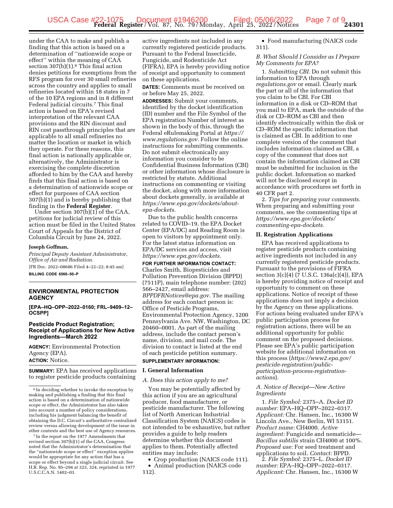under the CAA to make and publish a finding that this action is based on a determination of ''nationwide scope or effect'' within the meaning of CAA section  $307(b)(1)$ .<sup>6</sup> This final action denies petitions for exemptions from the RFS program for over 30 small refineries across the country and applies to small refineries located within 18 states in 7 of the 10 EPA regions and in 8 different Federal judicial circuits.7 This final action is based on EPA's revised interpretation of the relevant CAA provisions and the RIN discount and RIN cost passthrough principles that are applicable to all small refineries no matter the location or market in which they operate. For these reasons, this final action is nationally applicable or, alternatively, the Administrator is exercising the complete discretion afforded to him by the CAA and hereby finds that this final action is based on a determination of nationwide scope or effect for purposes of CAA section 307(b)(1) and is hereby publishing that finding in the **Federal Register**.

Under section 307(b)(1) of the CAA, petitions for judicial review of this action must be filed in the United States Court of Appeals for the District of Columbia Circuit by June 24, 2022.

#### **Joseph Goffman,**

*Principal Deputy Assistant Administrator, Office of Air and Radiation.* 

[FR Doc. 2022–08686 Filed 4–22–22; 8:45 am] **BILLING CODE 6560–50–P** 

#### **ENVIRONMENTAL PROTECTION AGENCY**

**[EPA–HQ–OPP–2022–0160; FRL–9409–12– OCSPP]** 

#### **Pesticide Product Registration; Receipt of Applications for New Active Ingredients—March 2022**

**AGENCY:** Environmental Protection Agency (EPA). **ACTION:** Notice.

**SUMMARY:** EPA has received applications to register pesticide products containing

7 In the report on the 1977 Amendments that revised section 307(b)(1) of the CAA, Congress noted that the Administrator's determination that the ''nationwide scope or effect'' exception applies would be appropriate for any action that has a scope or effect beyond a single judicial circuit. See H.R. Rep. No. 95–294 at 323, 324, reprinted in 1977 U.S.C.C.A.N. 1402–03.

active ingredients not included in any currently registered pesticide products. Pursuant to the Federal Insecticide, Fungicide, and Rodenticide Act (FIFRA), EPA is hereby providing notice of receipt and opportunity to comment on these applications.

**DATES:** Comments must be received on or before May 25, 2022.

**ADDRESSES:** Submit your comments, identified by the docket identification (ID) number and the File Symbol of the EPA registration Number of interest as shown in the body of this, through the Federal eRulemaking Portal at *https:// www.regulations.gov.* Follow the online instructions for submitting comments. Do not submit electronically any information you consider to be Confidential Business Information (CBI) or other information whose disclosure is restricted by statute. Additional instructions on commenting or visiting the docket, along with more information about dockets generally, is available at *https://www.epa.gov/dockets/aboutepa-dockets.* 

Due to the public health concerns related to COVID–19, the EPA Docket Center (EPA/DC) and Reading Room is open to visitors by appointment only. For the latest status information on EPA/DC services and access, visit *https://www.epa.gov/dockets.* 

**FOR FURTHER INFORMATION CONTACT:**  Charles Smith, Biopesticides and Pollution Prevention Division (BPPD) (7511P), main telephone number: (202) 566–2427, email address: *BPPDFRNotices@epa.gov.* The mailing address for each contact person is: Office of Pesticide Programs, Environmental Protection Agency, 1200 Pennsylvania Ave. NW, Washington, DC 20460–0001. As part of the mailing address, include the contact person's name, division, and mail code. The division to contact is listed at the end of each pesticide petition summary.

### **SUPPLEMENTARY INFORMATION:**

#### **I. General Information**

#### *A. Does this action apply to me?*

You may be potentially affected by this action if you are an agricultural producer, food manufacturer, or pesticide manufacturer. The following list of North American Industrial Classification System (NAICS) codes is not intended to be exhaustive, but rather provides a guide to help readers determine whether this document applies to them. Potentially affected entities may include:

• Crop production (NAICS code 111). • Animal production (NAICS code

• Food manufacturing (NAICS code 311).

*B. What Should I Consider as I Prepare My Comments for EPA?* 

1. *Submitting CBI.* Do not submit this information to EPA through *regulations.gov* or email. Clearly mark the part or all of the information that you claim to be CBI. For CBI information in a disk or CD–ROM that you mail to EPA, mark the outside of the disk or CD–ROM as CBI and then identify electronically within the disk or CD–ROM the specific information that is claimed as CBI. In addition to one complete version of the comment that includes information claimed as CBI, a copy of the comment that does not contain the information claimed as CBI must be submitted for inclusion in the public docket. Information so marked will not be disclosed except in accordance with procedures set forth in 40 CFR part 2.

2. *Tips for preparing your comments.*  When preparing and submitting your comments, see the commenting tips at *https://www.epa.gov/dockets/ commenting-epa-dockets.* 

#### **II. Registration Applications**

EPA has received applications to register pesticide products containing active ingredients not included in any currently registered pesticide products. Pursuant to the provisions of FIFRA section 3(c)(4) (7 U.S.C. 136a(c)(4)), EPA is hereby providing notice of receipt and opportunity to comment on these applications. Notice of receipt of these applications does not imply a decision by the Agency on these applications. For actions being evaluated under EPA's public participation process for registration actions, there will be an additional opportunity for public comment on the proposed decisions. Please see EPA's public participation website for additional information on this process (*https://www2.epa.gov/ pesticide-registration/publicparticipation-process-registrationactions*).

#### *A. Notice of Receipt—New Active Ingredients*

1. *File Symbol:* 2375–A. *Docket ID number:* EPA–HQ–OPP–2022–0317. *Applicant:* Chr. Hansen, Inc., 16300 W Lincoln Ave., New Berlin, WI 53151. *Product name:* CH4000. *Active ingredient:* Fungicide and nematicide— *Bacillus subtilis* strain CH4000 at 100%. *Proposed use:* For seed treatment and applications to soil. *Contact:* BPPD.

2. *File Symbol:* 2375–L. *Docket ID number:* EPA–HQ–OPP–2022–0317. *Applicant:* Chr. Hansen, Inc., 16300 W

<sup>6</sup> In deciding whether to invoke the exception by making and publishing a finding that this final action is based on a determination of nationwide scope or effect, the Administrator has also taken into account a number of policy considerations, including his judgment balancing the benefit of obtaining the D.C. Circuit's authoritative centralized review versus allowing development of the issue in other contexts and the best use of Agency resources.

<sup>112).</sup>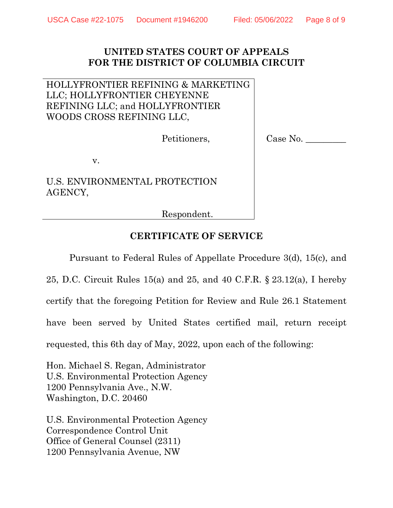## **UNITED STATES COURT OF APPEALS FOR THE DISTRICT OF COLUMBIA CIRCUIT**

HOLLYFRONTIER REFINING & MARKETING LLC; HOLLYFRONTIER CHEYENNE REFINING LLC; and HOLLYFRONTIER WOODS CROSS REFINING LLC,

Petitioners,

Case No. \_\_\_\_\_\_\_\_\_

v.

U.S. ENVIRONMENTAL PROTECTION AGENCY,

Respondent.

# **CERTIFICATE OF SERVICE**

Pursuant to Federal Rules of Appellate Procedure 3(d), 15(c), and

25, D.C. Circuit Rules 15(a) and 25, and 40 C.F.R. § 23.12(a), I hereby certify that the foregoing Petition for Review and Rule 26.1 Statement have been served by United States certified mail, return receipt requested, this 6th day of May, 2022, upon each of the following:

Hon. Michael S. Regan, Administrator U.S. Environmental Protection Agency 1200 Pennsylvania Ave., N.W. Washington, D.C. 20460

U.S. Environmental Protection Agency Correspondence Control Unit Office of General Counsel (2311) 1200 Pennsylvania Avenue, NW